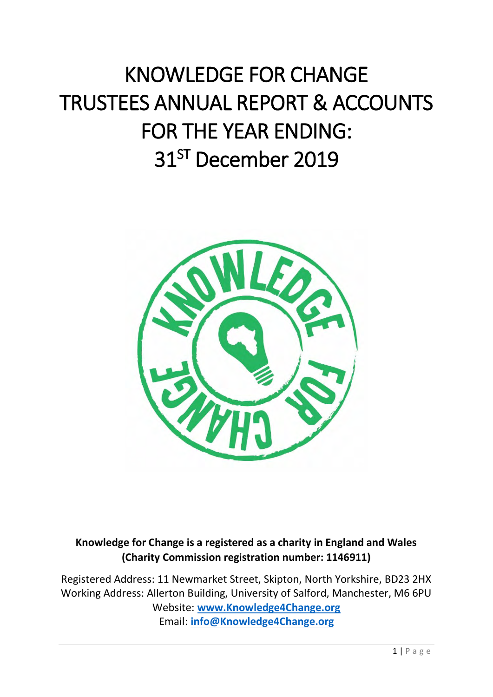# KNOWLEDGE FOR CHANGE TRUSTEES ANNUAL REPORT & ACCOUNTS FOR THE YEAR ENDING: 31 ST December 2019



**Knowledge for Change is a registered as a charity in England and Wales (Charity Commission registration number: 1146911)**

Registered Address: 11 Newmarket Street, Skipton, North Yorkshire, BD23 2HX Working Address: Allerton Building, University of Salford, Manchester, M6 6PU Website: **[www.Knowledge4Change.org](http://www.knowledge4change.org/)** Email: **[info@Knowledge4Change.org](mailto:info@Knowledge4Change.org)**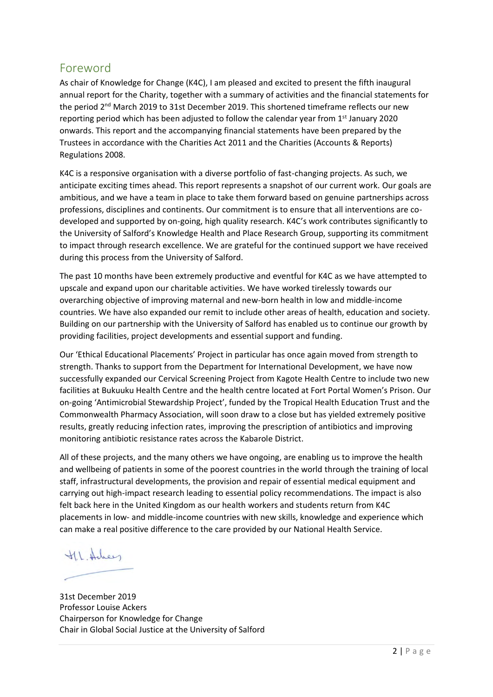### <span id="page-1-0"></span>Foreword

As chair of Knowledge for Change (K4C), I am pleased and excited to present the fifth inaugural annual report for the Charity, together with a summary of activities and the financial statements for the period 2<sup>nd</sup> March 2019 to 31st December 2019. This shortened timeframe reflects our new reporting period which has been adjusted to follow the calendar year from  $1<sup>st</sup>$  January 2020 onwards. This report and the accompanying financial statements have been prepared by the Trustees in accordance with the Charities Act 2011 and the Charities (Accounts & Reports) Regulations 2008.

K4C is a responsive organisation with a diverse portfolio of fast-changing projects. As such, we anticipate exciting times ahead. This report represents a snapshot of our current work. Our goals are ambitious, and we have a team in place to take them forward based on genuine partnerships across professions, disciplines and continents. Our commitment is to ensure that all interventions are codeveloped and supported by on-going, high quality research. K4C's work contributes significantly to the University of Salford's Knowledge Health and Place Research Group, supporting its commitment to impact through research excellence. We are grateful for the continued support we have received during this process from the University of Salford.

The past 10 months have been extremely productive and eventful for K4C as we have attempted to upscale and expand upon our charitable activities. We have worked tirelessly towards our overarching objective of improving maternal and new-born health in low and middle-income countries. We have also expanded our remit to include other areas of health, education and society. Building on our partnership with the University of Salford has enabled us to continue our growth by providing facilities, project developments and essential support and funding.

Our 'Ethical Educational Placements' Project in particular has once again moved from strength to strength. Thanks to support from the Department for International Development, we have now successfully expanded our Cervical Screening Project from Kagote Health Centre to include two new facilities at Bukuuku Health Centre and the health centre located at Fort Portal Women's Prison. Our on-going 'Antimicrobial Stewardship Project', funded by the Tropical Health Education Trust and the Commonwealth Pharmacy Association, will soon draw to a close but has yielded extremely positive results, greatly reducing infection rates, improving the prescription of antibiotics and improving monitoring antibiotic resistance rates across the Kabarole District.

All of these projects, and the many others we have ongoing, are enabling us to improve the health and wellbeing of patients in some of the poorest countries in the world through the training of local staff, infrastructural developments, the provision and repair of essential medical equipment and carrying out high-impact research leading to essential policy recommendations. The impact is also felt back here in the United Kingdom as our health workers and students return from K4C placements in low- and middle-income countries with new skills, knowledge and experience which can make a real positive difference to the care provided by our National Health Service.

the Adrey

31st December 2019 Professor Louise Ackers Chairperson for Knowledge for Change Chair in Global Social Justice at the University of Salford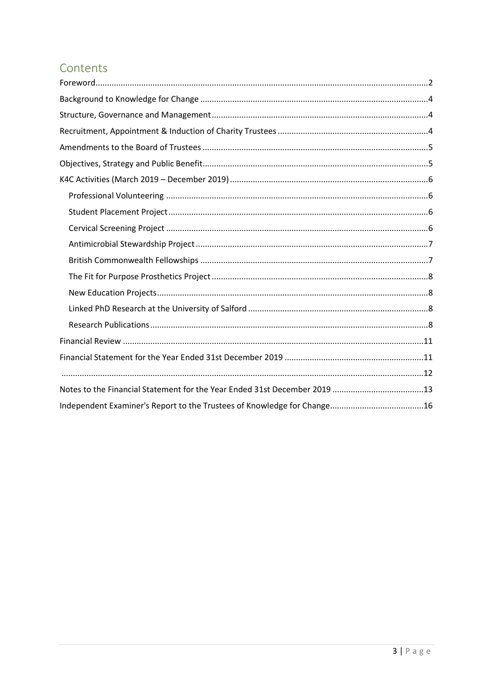# Contents

| Notes to the Financial Statement for the Year Ended 31st December 2019 13 |  |
|---------------------------------------------------------------------------|--|
|                                                                           |  |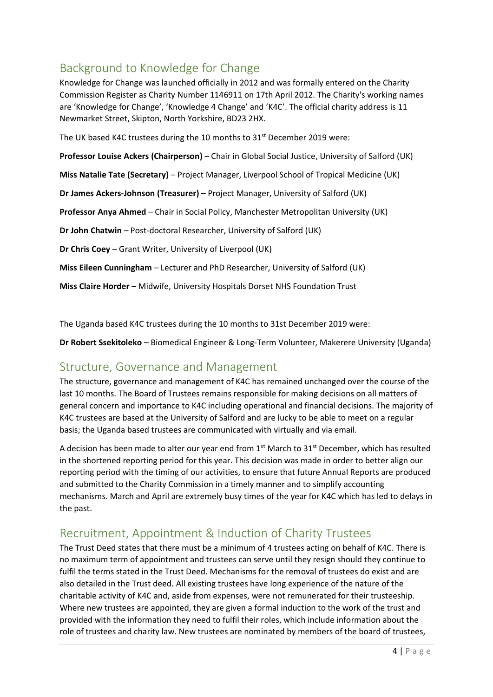# <span id="page-3-0"></span>Background to Knowledge for Change

Knowledge for Change was launched officially in 2012 and was formally entered on the Charity Commission Register as Charity Number 1146911 on 17th April 2012. The Charity's working names are 'Knowledge for Change', 'Knowledge 4 Change' and 'K4C'. The official charity address is 11 Newmarket Street, Skipton, North Yorkshire, BD23 2HX.

The UK based K4C trustees during the 10 months to 31<sup>st</sup> December 2019 were:

**Professor Louise Ackers (Chairperson)** – Chair in Global Social Justice, University of Salford (UK)

**Miss Natalie Tate (Secretary)** – Project Manager, Liverpool School of Tropical Medicine (UK)

**Dr James Ackers-Johnson (Treasurer)** – Project Manager, University of Salford (UK)

**Professor Anya Ahmed** – Chair in Social Policy, Manchester Metropolitan University (UK)

**Dr John Chatwin** – Post-doctoral Researcher, University of Salford (UK)

**Dr Chris Coey** – Grant Writer, University of Liverpool (UK)

**Miss Eileen Cunningham** – Lecturer and PhD Researcher, University of Salford (UK)

**Miss Claire Horder** – Midwife, University Hospitals Dorset NHS Foundation Trust

The Uganda based K4C trustees during the 10 months to 31st December 2019 were:

**Dr Robert Ssekitoleko** – Biomedical Engineer & Long-Term Volunteer, Makerere University (Uganda)

### <span id="page-3-1"></span>Structure, Governance and Management

The structure, governance and management of K4C has remained unchanged over the course of the last 10 months. The Board of Trustees remains responsible for making decisions on all matters of general concern and importance to K4C including operational and financial decisions. The majority of K4C trustees are based at the University of Salford and are lucky to be able to meet on a regular basis; the Uganda based trustees are communicated with virtually and via email.

A decision has been made to alter our year end from 1<sup>st</sup> March to 31<sup>st</sup> December, which has resulted in the shortened reporting period for this year. This decision was made in order to better align our reporting period with the timing of our activities, to ensure that future Annual Reports are produced and submitted to the Charity Commission in a timely manner and to simplify accounting mechanisms. March and April are extremely busy times of the year for K4C which has led to delays in the past.

# <span id="page-3-2"></span>Recruitment, Appointment & Induction of Charity Trustees

The Trust Deed states that there must be a minimum of 4 trustees acting on behalf of K4C. There is no maximum term of appointment and trustees can serve until they resign should they continue to fulfil the terms stated in the Trust Deed. Mechanisms for the removal of trustees do exist and are also detailed in the Trust deed. All existing trustees have long experience of the nature of the charitable activity of K4C and, aside from expenses, were not remunerated for their trusteeship. Where new trustees are appointed, they are given a formal induction to the work of the trust and provided with the information they need to fulfil their roles, which include information about the role of trustees and charity law. New trustees are nominated by members of the board of trustees,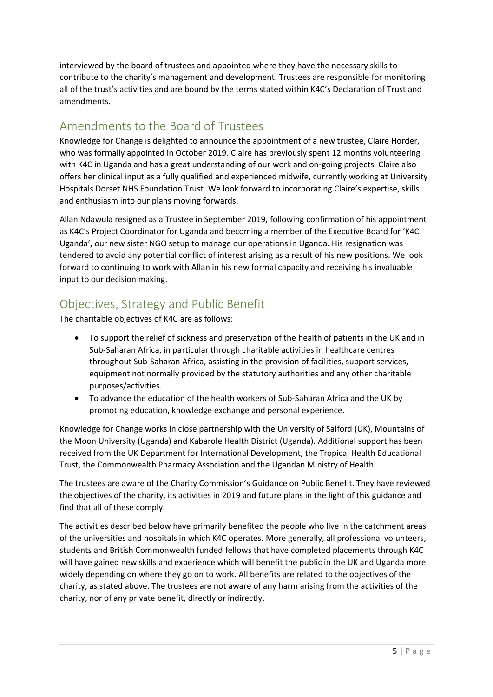interviewed by the board of trustees and appointed where they have the necessary skills to contribute to the charity's management and development. Trustees are responsible for monitoring all of the trust's activities and are bound by the terms stated within K4C's Declaration of Trust and amendments.

# <span id="page-4-0"></span>Amendments to the Board of Trustees

Knowledge for Change is delighted to announce the appointment of a new trustee, Claire Horder, who was formally appointed in October 2019. Claire has previously spent 12 months volunteering with K4C in Uganda and has a great understanding of our work and on-going projects. Claire also offers her clinical input as a fully qualified and experienced midwife, currently working at University Hospitals Dorset NHS Foundation Trust. We look forward to incorporating Claire's expertise, skills and enthusiasm into our plans moving forwards.

Allan Ndawula resigned as a Trustee in September 2019, following confirmation of his appointment as K4C's Project Coordinator for Uganda and becoming a member of the Executive Board for 'K4C Uganda', our new sister NGO setup to manage our operations in Uganda. His resignation was tendered to avoid any potential conflict of interest arising as a result of his new positions. We look forward to continuing to work with Allan in his new formal capacity and receiving his invaluable input to our decision making.

# <span id="page-4-1"></span>Objectives, Strategy and Public Benefit

The charitable objectives of K4C are as follows:

- To support the relief of sickness and preservation of the health of patients in the UK and in Sub-Saharan Africa, in particular through charitable activities in healthcare centres throughout Sub-Saharan Africa, assisting in the provision of facilities, support services, equipment not normally provided by the statutory authorities and any other charitable purposes/activities.
- To advance the education of the health workers of Sub-Saharan Africa and the UK by promoting education, knowledge exchange and personal experience.

Knowledge for Change works in close partnership with the University of Salford (UK), Mountains of the Moon University (Uganda) and Kabarole Health District (Uganda). Additional support has been received from the UK Department for International Development, the Tropical Health Educational Trust, the Commonwealth Pharmacy Association and the Ugandan Ministry of Health.

The trustees are aware of the Charity Commission's Guidance on Public Benefit. They have reviewed the objectives of the charity, its activities in 2019 and future plans in the light of this guidance and find that all of these comply.

The activities described below have primarily benefited the people who live in the catchment areas of the universities and hospitals in which K4C operates. More generally, all professional volunteers, students and British Commonwealth funded fellows that have completed placements through K4C will have gained new skills and experience which will benefit the public in the UK and Uganda more widely depending on where they go on to work. All benefits are related to the objectives of the charity, as stated above. The trustees are not aware of any harm arising from the activities of the charity, nor of any private benefit, directly or indirectly.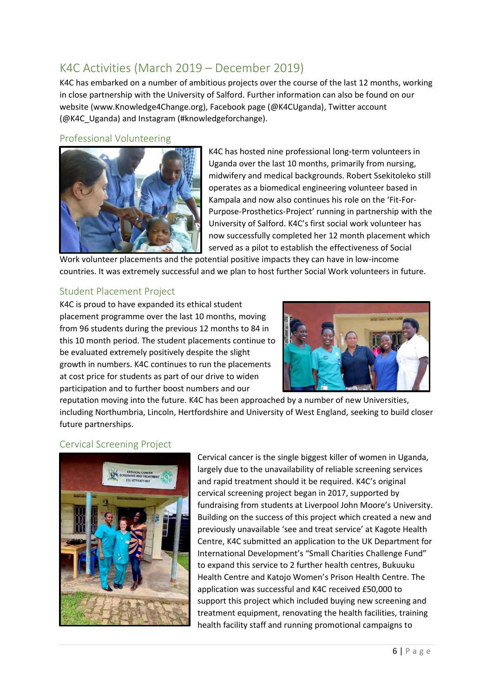# <span id="page-5-0"></span>K4C Activities (March 2019 – December 2019)

K4C has embarked on a number of ambitious projects over the course of the last 12 months, working in close partnership with the University of Salford. Further information can also be found on our website (www.Knowledge4Change.org), Facebook page (@K4CUganda), Twitter account (@K4C\_Uganda) and Instagram (#knowledgeforchange).

#### <span id="page-5-1"></span>Professional Volunteering



K4C has hosted nine professional long-term volunteers in Uganda over the last 10 months, primarily from nursing, midwifery and medical backgrounds. Robert Ssekitoleko still operates as a biomedical engineering volunteer based in Kampala and now also continues his role on the 'Fit-For-Purpose-Prosthetics-Project' running in partnership with the University of Salford. K4C's first social work volunteer has now successfully completed her 12 month placement which served as a pilot to establish the effectiveness of Social

Work volunteer placements and the potential positive impacts they can have in low-income countries. It was extremely successful and we plan to host further Social Work volunteers in future.

### <span id="page-5-2"></span>Student Placement Project

K4C is proud to have expanded its ethical student placement programme over the last 10 months, moving from 96 students during the previous 12 months to 84 in this 10 month period. The student placements continue to be evaluated extremely positively despite the slight growth in numbers. K4C continues to run the placements at cost price for students as part of our drive to widen participation and to further boost numbers and our



reputation moving into the future. K4C has been approached by a number of new Universities, including Northumbria, Lincoln, Hertfordshire and University of West England, seeking to build closer future partnerships.

### <span id="page-5-3"></span>Cervical Screening Project



Cervical cancer is the single biggest killer of women in Uganda, largely due to the unavailability of reliable screening services and rapid treatment should it be required. K4C's original cervical screening project began in 2017, supported by fundraising from students at Liverpool John Moore's University. Building on the success of this project which created a new and previously unavailable 'see and treat service' at Kagote Health Centre, K4C submitted an application to the UK Department for International Development's "Small Charities Challenge Fund" to expand this service to 2 further health centres, Bukuuku Health Centre and Katojo Women's Prison Health Centre. The application was successful and K4C received £50,000 to support this project which included buying new screening and treatment equipment, renovating the health facilities, training health facility staff and running promotional campaigns to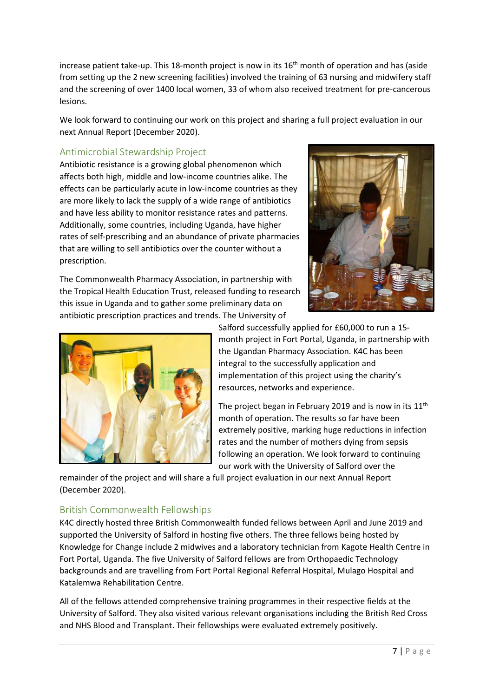increase patient take-up. This 18-month project is now in its 16<sup>th</sup> month of operation and has (aside from setting up the 2 new screening facilities) involved the training of 63 nursing and midwifery staff and the screening of over 1400 local women, 33 of whom also received treatment for pre-cancerous lesions.

We look forward to continuing our work on this project and sharing a full project evaluation in our next Annual Report (December 2020).

### <span id="page-6-0"></span>Antimicrobial Stewardship Project

Antibiotic resistance is a growing global phenomenon which affects both high, middle and low-income countries alike. The effects can be particularly acute in low-income countries as they are more likely to lack the supply of a wide range of antibiotics and have less ability to monitor resistance rates and patterns. Additionally, some countries, including Uganda, have higher rates of self-prescribing and an abundance of private pharmacies that are willing to sell antibiotics over the counter without a prescription.

The Commonwealth Pharmacy Association, in partnership with the Tropical Health Education Trust, released funding to research this issue in Uganda and to gather some preliminary data on antibiotic prescription practices and trends. The University of





Salford successfully applied for £60,000 to run a 15 month project in Fort Portal, Uganda, in partnership with the Ugandan Pharmacy Association. K4C has been integral to the successfully application and implementation of this project using the charity's resources, networks and experience.

The project began in February 2019 and is now in its  $11<sup>th</sup>$ month of operation. The results so far have been extremely positive, marking huge reductions in infection rates and the number of mothers dying from sepsis following an operation. We look forward to continuing our work with the University of Salford over the

remainder of the project and will share a full project evaluation in our next Annual Report (December 2020).

### <span id="page-6-1"></span>British Commonwealth Fellowships

K4C directly hosted three British Commonwealth funded fellows between April and June 2019 and supported the University of Salford in hosting five others. The three fellows being hosted by Knowledge for Change include 2 midwives and a laboratory technician from Kagote Health Centre in Fort Portal, Uganda. The five University of Salford fellows are from Orthopaedic Technology backgrounds and are travelling from Fort Portal Regional Referral Hospital, Mulago Hospital and Katalemwa Rehabilitation Centre.

All of the fellows attended comprehensive training programmes in their respective fields at the University of Salford. They also visited various relevant organisations including the British Red Cross and NHS Blood and Transplant. Their fellowships were evaluated extremely positively.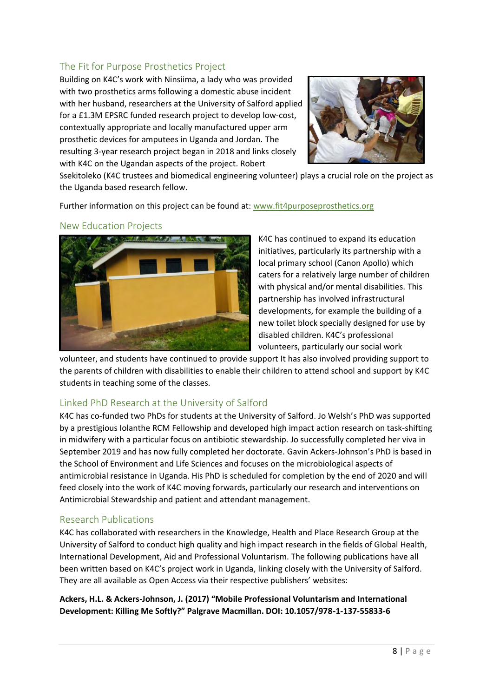### <span id="page-7-0"></span>The Fit for Purpose Prosthetics Project

Building on K4C's work with Ninsiima, a lady who was provided with two prosthetics arms following a domestic abuse incident with her husband, researchers at the University of Salford applied for a £1.3M EPSRC funded research project to develop low-cost, contextually appropriate and locally manufactured upper arm prosthetic devices for amputees in Uganda and Jordan. The resulting 3-year research project began in 2018 and links closely with K4C on the Ugandan aspects of the project. Robert



Ssekitoleko (K4C trustees and biomedical engineering volunteer) plays a crucial role on the project as the Uganda based research fellow.

Further information on this project can be found at: [www.fit4purposeprosthetics.org](http://www.fit4purposeprosthetics.org/)

#### <span id="page-7-1"></span>New Education Projects



K4C has continued to expand its education initiatives, particularly its partnership with a local primary school (Canon Apollo) which caters for a relatively large number of children with physical and/or mental disabilities. This partnership has involved infrastructural developments, for example the building of a new toilet block specially designed for use by disabled children. K4C's professional volunteers, particularly our social work

volunteer, and students have continued to provide support It has also involved providing support to the parents of children with disabilities to enable their children to attend school and support by K4C students in teaching some of the classes.

#### <span id="page-7-2"></span>Linked PhD Research at the University of Salford

K4C has co-funded two PhDs for students at the University of Salford. Jo Welsh's PhD was supported by a prestigious Iolanthe RCM Fellowship and developed high impact action research on task-shifting in midwifery with a particular focus on antibiotic stewardship. Jo successfully completed her viva in September 2019 and has now fully completed her doctorate. Gavin Ackers-Johnson's PhD is based in the School of Environment and Life Sciences and focuses on the microbiological aspects of antimicrobial resistance in Uganda. His PhD is scheduled for completion by the end of 2020 and will feed closely into the work of K4C moving forwards, particularly our research and interventions on Antimicrobial Stewardship and patient and attendant management.

#### <span id="page-7-3"></span>Research Publications

K4C has collaborated with researchers in the Knowledge, Health and Place Research Group at the University of Salford to conduct high quality and high impact research in the fields of Global Health, International Development, Aid and Professional Voluntarism. The following publications have all been written based on K4C's project work in Uganda, linking closely with the University of Salford. They are all available as Open Access via their respective publishers' websites:

**Ackers, H.L. & Ackers-Johnson, J. (2017) "Mobile Professional Voluntarism and International Development: Killing Me Softly?" Palgrave Macmillan. DOI: 10.1057/978-1-137-55833-6**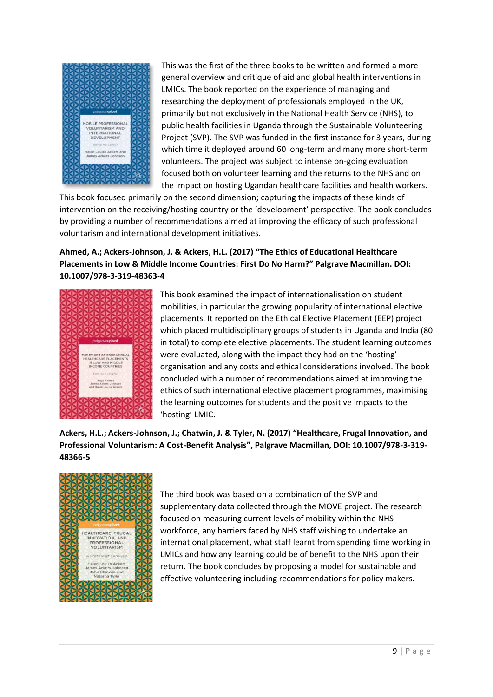

This was the first of the three books to be written and formed a more general overview and critique of aid and global health interventions in LMICs. The book reported on the experience of managing and researching the deployment of professionals employed in the UK, primarily but not exclusively in the National Health Service (NHS), to public health facilities in Uganda through the Sustainable Volunteering Project (SVP). The SVP was funded in the first instance for 3 years, during which time it deployed around 60 long-term and many more short-term volunteers. The project was subject to intense on-going evaluation focused both on volunteer learning and the returns to the NHS and on the impact on hosting Ugandan healthcare facilities and health workers.

This book focused primarily on the second dimension; capturing the impacts of these kinds of intervention on the receiving/hosting country or the 'development' perspective. The book concludes by providing a number of recommendations aimed at improving the efficacy of such professional voluntarism and international development initiatives.

**Ahmed, A.; Ackers-Johnson, J. & Ackers, H.L. (2017) "The Ethics of Educational Healthcare Placements in Low & Middle Income Countries: First Do No Harm?" Palgrave Macmillan. DOI: 10.1007/978-3-319-48363-4**



This book examined the impact of internationalisation on student mobilities, in particular the growing popularity of international elective placements. It reported on the Ethical Elective Placement (EEP) project which placed multidisciplinary groups of students in Uganda and India (80 in total) to complete elective placements. The student learning outcomes were evaluated, along with the impact they had on the 'hosting' organisation and any costs and ethical considerations involved. The book concluded with a number of recommendations aimed at improving the ethics of such international elective placement programmes, maximising the learning outcomes for students and the positive impacts to the 'hosting' LMIC.

**Ackers, H.L.; Ackers-Johnson, J.; Chatwin, J. & Tyler, N. (2017) "Healthcare, Frugal Innovation, and Professional Voluntarism: A Cost-Benefit Analysis", Palgrave Macmillan, DOI: 10.1007/978-3-319- 48366-5**



The third book was based on a combination of the SVP and supplementary data collected through the MOVE project. The research focused on measuring current levels of mobility within the NHS workforce, any barriers faced by NHS staff wishing to undertake an international placement, what staff learnt from spending time working in LMICs and how any learning could be of benefit to the NHS upon their return. The book concludes by proposing a model for sustainable and effective volunteering including recommendations for policy makers.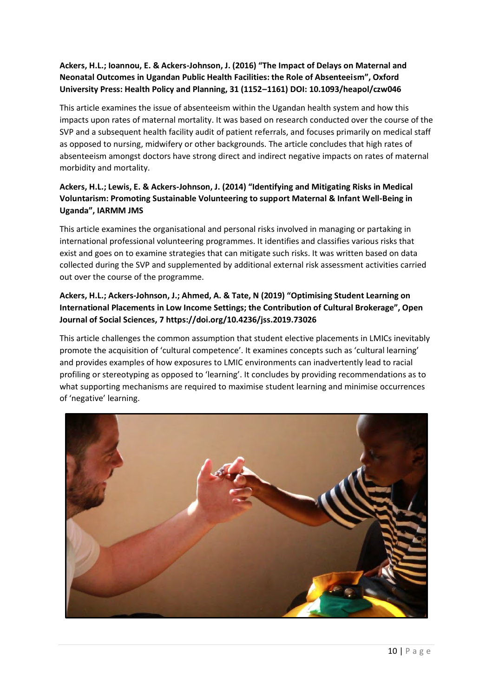### **Ackers, H.L.; Ioannou, E. & Ackers-Johnson, J. (2016) "The Impact of Delays on Maternal and Neonatal Outcomes in Ugandan Public Health Facilities: the Role of Absenteeism", Oxford University Press: Health Policy and Planning, 31 (1152–1161) DOI: 10.1093/heapol/czw046**

This article examines the issue of absenteeism within the Ugandan health system and how this impacts upon rates of maternal mortality. It was based on research conducted over the course of the SVP and a subsequent health facility audit of patient referrals, and focuses primarily on medical staff as opposed to nursing, midwifery or other backgrounds. The article concludes that high rates of absenteeism amongst doctors have strong direct and indirect negative impacts on rates of maternal morbidity and mortality.

### **Ackers, H.L.; Lewis, E. & Ackers-Johnson, J. (2014) "Identifying and Mitigating Risks in Medical Voluntarism: Promoting Sustainable Volunteering to support Maternal & Infant Well-Being in Uganda", IARMM JMS**

This article examines the organisational and personal risks involved in managing or partaking in international professional volunteering programmes. It identifies and classifies various risks that exist and goes on to examine strategies that can mitigate such risks. It was written based on data collected during the SVP and supplemented by additional external risk assessment activities carried out over the course of the programme.

### **Ackers, H.L.; Ackers-Johnson, J.; Ahmed, A. & Tate, N (2019) "Optimising Student Learning on International Placements in Low Income Settings; the Contribution of Cultural Brokerage", Open Journal of Social Sciences, 7 https://doi.org/10.4236/jss.2019.73026**

This article challenges the common assumption that student elective placements in LMICs inevitably promote the acquisition of 'cultural competence'. It examines concepts such as 'cultural learning' and provides examples of how exposures to LMIC environments can inadvertently lead to racial profiling or stereotyping as opposed to 'learning'. It concludes by providing recommendations as to what supporting mechanisms are required to maximise student learning and minimise occurrences of 'negative' learning.

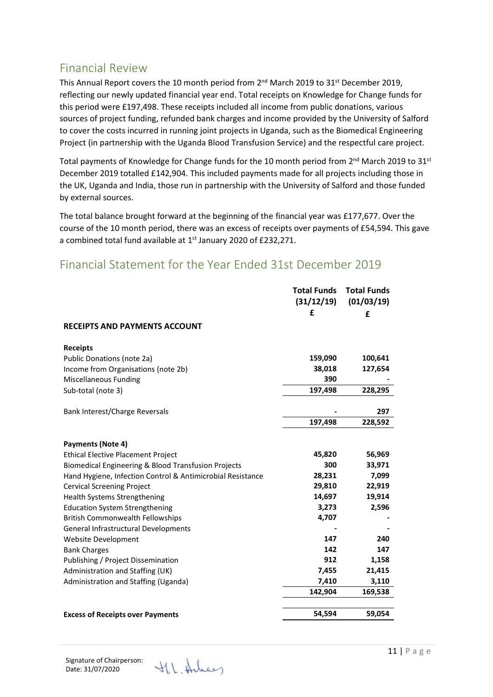## <span id="page-10-0"></span>Financial Review

This Annual Report covers the 10 month period from 2<sup>nd</sup> March 2019 to 31<sup>st</sup> December 2019, reflecting our newly updated financial year end. Total receipts on Knowledge for Change funds for this period were £197,498. These receipts included all income from public donations, various sources of project funding, refunded bank charges and income provided by the University of Salford to cover the costs incurred in running joint projects in Uganda, such as the Biomedical Engineering Project (in partnership with the Uganda Blood Transfusion Service) and the respectful care project.

Total payments of Knowledge for Change funds for the 10 month period from 2<sup>nd</sup> March 2019 to 31<sup>st</sup> December 2019 totalled £142,904. This included payments made for all projects including those in the UK, Uganda and India, those run in partnership with the University of Salford and those funded by external sources.

The total balance brought forward at the beginning of the financial year was £177,677. Over the course of the 10 month period, there was an excess of receipts over payments of £54,594. This gave a combined total fund available at 1<sup>st</sup> January 2020 of £232,271.

### **Total Funds Total Funds (31/12/19) (01/03/19) £ £ RECEIPTS AND PAYMENTS ACCOUNT Receipts** Public Donations (note 2a) **159,090 100,641** Income from Organisations (note 2b) **38,018 127,654 Miscellaneous Funding 390 -**Sub-total (note 3) **197,498 228,295** Bank Interest/Charge Reversals **- 297 197,498 228,592 Payments (Note 4)** Ethical Elective Placement Project **45,820 56,969** Biomedical Engineering & Blood Transfusion Projects **300 33,971** Hand Hygiene, Infection Control & Antimicrobial Resistance **28,231 7,099** Cervical Screening Project **29,810 22,919** Health Systems Strengthening **14,697 19,914** Education System Strengthening **3,273 2,596** British Commonwealth Fellowships **4,707 -** General Infrastructural Developments **- -** Website Development **147 240** Bank Charges **142 147** Publishing / Project Dissemination **912 1,158** Administration and Staffing (UK) **7,455 21,415** Administration and Staffing (Uganda) **7,410 3,110 142,904 169,538 Excess of Receipts over Payments 54,594 59,054**

### <span id="page-10-1"></span>Financial Statement for the Year Ended 31st December 2019

Signature of Chairperson: Date: 31/07/2020

V.L. Holey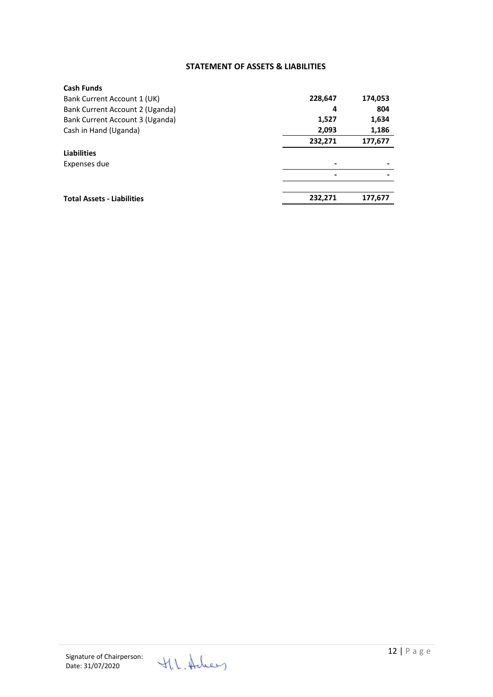#### **STATEMENT OF ASSETS & LIABILITIES**

| <b>Cash Funds</b>                 |         |         |
|-----------------------------------|---------|---------|
| Bank Current Account 1 (UK)       | 228,647 | 174,053 |
| Bank Current Account 2 (Uganda)   | 4       | 804     |
| Bank Current Account 3 (Uganda)   | 1,527   | 1,634   |
| Cash in Hand (Uganda)             | 2,093   | 1,186   |
|                                   | 232,271 | 177,677 |
| <b>Liabilities</b>                |         |         |
| Expenses due                      |         |         |
|                                   | ۰       |         |
|                                   |         |         |
| <b>Total Assets - Liabilities</b> | 232,271 | 177,677 |
|                                   |         |         |

<span id="page-11-0"></span>V.I. Holey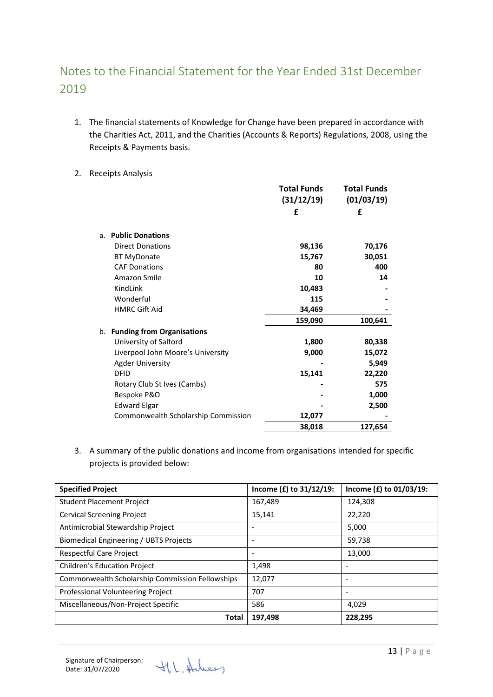# <span id="page-12-0"></span>Notes to the Financial Statement for the Year Ended 31st December 2019

- 1. The financial statements of Knowledge for Change have been prepared in accordance with the Charities Act, 2011, and the Charities (Accounts & Reports) Regulations, 2008, using the Receipts & Payments basis.
- 2. Receipts Analysis

|                                     | <b>Total Funds</b> | <b>Total Funds</b> |
|-------------------------------------|--------------------|--------------------|
|                                     | (31/12/19)         | (01/03/19)         |
|                                     | £                  | £                  |
|                                     |                    |                    |
| <b>Public Donations</b><br>a.       |                    |                    |
| <b>Direct Donations</b>             | 98,136             | 70,176             |
| <b>BT MyDonate</b>                  | 15,767             | 30,051             |
| <b>CAF Donations</b>                | 80                 | 400                |
| Amazon Smile                        | 10                 | 14                 |
| KindLink                            | 10,483             |                    |
| Wonderful                           | 115                |                    |
| <b>HMRC Gift Aid</b>                | 34,469             |                    |
|                                     | 159,090            | 100,641            |
| b. Funding from Organisations       |                    |                    |
| University of Salford               | 1,800              | 80,338             |
| Liverpool John Moore's University   | 9,000              | 15,072             |
| <b>Agder University</b>             |                    | 5,949              |
| <b>DFID</b>                         | 15,141             | 22,220             |
| Rotary Club St Ives (Cambs)         |                    | 575                |
| Bespoke P&O                         |                    | 1,000              |
| <b>Edward Elgar</b>                 |                    | 2,500              |
| Commonwealth Scholarship Commission | 12,077             |                    |
|                                     | 38,018             | 127,654            |

3. A summary of the public donations and income from organisations intended for specific projects is provided below:

| <b>Specified Project</b>                        | Income (£) to 31/12/19: | Income (£) to 01/03/19: |
|-------------------------------------------------|-------------------------|-------------------------|
| <b>Student Placement Project</b>                | 167,489                 | 124,308                 |
| <b>Cervical Screening Project</b>               | 15,141                  | 22,220                  |
| Antimicrobial Stewardship Project               |                         | 5,000                   |
| Biomedical Engineering / UBTS Projects          |                         | 59,738                  |
| Respectful Care Project                         |                         | 13,000                  |
| <b>Children's Education Project</b>             | 1,498                   |                         |
| Commonwealth Scholarship Commission Fellowships | 12,077                  |                         |
| <b>Professional Volunteering Project</b>        | 707                     |                         |
| Miscellaneous/Non-Project Specific              | 586                     | 4,029                   |
| Total                                           | 197,498                 | 228,295                 |

H.L. Holey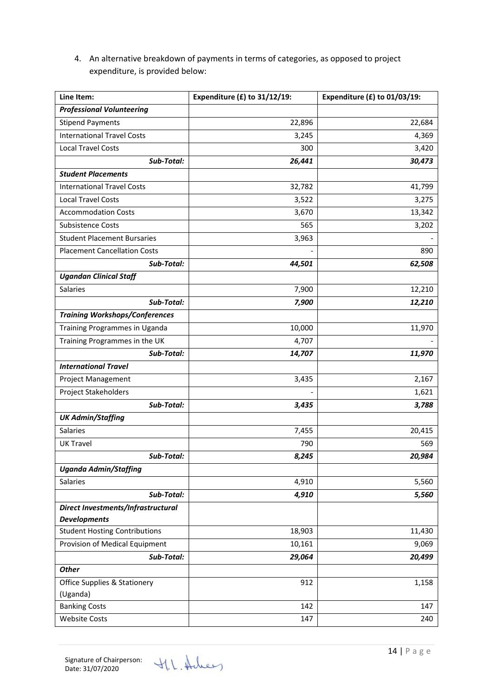4. An alternative breakdown of payments in terms of categories, as opposed to project expenditure, is provided below:

| Line Item:                              | Expenditure $(E)$ to 31/12/19: | Expenditure $(E)$ to 01/03/19: |
|-----------------------------------------|--------------------------------|--------------------------------|
| <b>Professional Volunteering</b>        |                                |                                |
| <b>Stipend Payments</b>                 | 22,896                         | 22,684                         |
| <b>International Travel Costs</b>       | 3,245                          | 4,369                          |
| <b>Local Travel Costs</b>               | 300                            | 3,420                          |
| Sub-Total:                              | 26,441                         | 30,473                         |
| <b>Student Placements</b>               |                                |                                |
| <b>International Travel Costs</b>       | 32,782                         | 41,799                         |
| <b>Local Travel Costs</b>               | 3,522                          | 3,275                          |
| <b>Accommodation Costs</b>              | 3,670                          | 13,342                         |
| <b>Subsistence Costs</b>                | 565                            | 3,202                          |
| <b>Student Placement Bursaries</b>      | 3,963                          |                                |
| <b>Placement Cancellation Costs</b>     |                                | 890                            |
| Sub-Total:                              | 44,501                         | 62,508                         |
| <b>Ugandan Clinical Staff</b>           |                                |                                |
| Salaries                                | 7,900                          | 12,210                         |
| Sub-Total:                              | 7,900                          | 12,210                         |
| <b>Training Workshops/Conferences</b>   |                                |                                |
| Training Programmes in Uganda           | 10,000                         | 11,970                         |
| Training Programmes in the UK           | 4,707                          |                                |
| Sub-Total:                              | 14,707                         | 11,970                         |
| <b>International Travel</b>             |                                |                                |
| Project Management                      | 3,435                          | 2,167                          |
| Project Stakeholders                    |                                | 1,621                          |
| Sub-Total:                              | 3,435                          | 3,788                          |
| <b>UK Admin/Staffing</b>                |                                |                                |
| Salaries                                | 7,455                          | 20,415                         |
| <b>UK Travel</b>                        | 790                            | 569                            |
| Sub-Total:                              | 8,245                          | 20,984                         |
| <b>Uganda Admin/Staffing</b>            |                                |                                |
| Salaries                                | 4,910                          | 5,560                          |
| Sub-Total:                              | 4,910                          | 5,560                          |
| Direct Investments/Infrastructural      |                                |                                |
| <b>Developments</b>                     |                                |                                |
| <b>Student Hosting Contributions</b>    | 18,903                         | 11,430                         |
| Provision of Medical Equipment          | 10,161                         | 9,069                          |
| Sub-Total:                              | 29,064                         | 20,499                         |
| <b>Other</b>                            |                                |                                |
| <b>Office Supplies &amp; Stationery</b> | 912                            | 1,158                          |
| (Uganda)                                |                                |                                |
| <b>Banking Costs</b>                    | 142                            | 147                            |
| <b>Website Costs</b>                    | 147                            | 240                            |

H.L. Acheey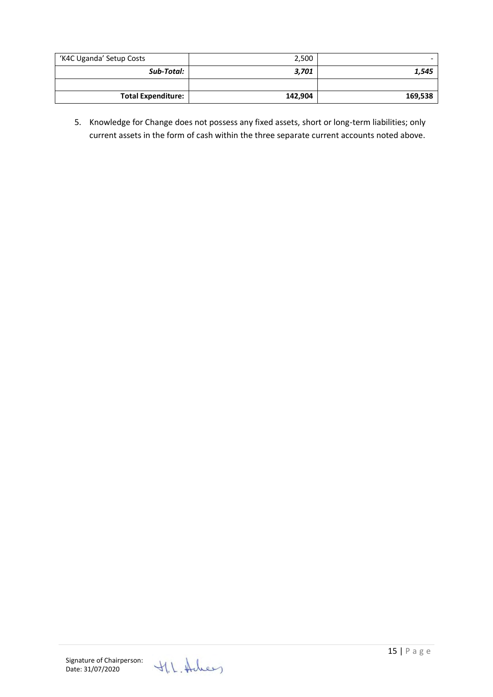| 'K4C Uganda' Setup Costs  | 2,500   |         |
|---------------------------|---------|---------|
| Sub-Total:                | 3,701   | 1,545   |
|                           |         |         |
| <b>Total Expenditure:</b> | 142,904 | 169,538 |

5. Knowledge for Change does not possess any fixed assets, short or long-term liabilities; only current assets in the form of cash within the three separate current accounts noted above.